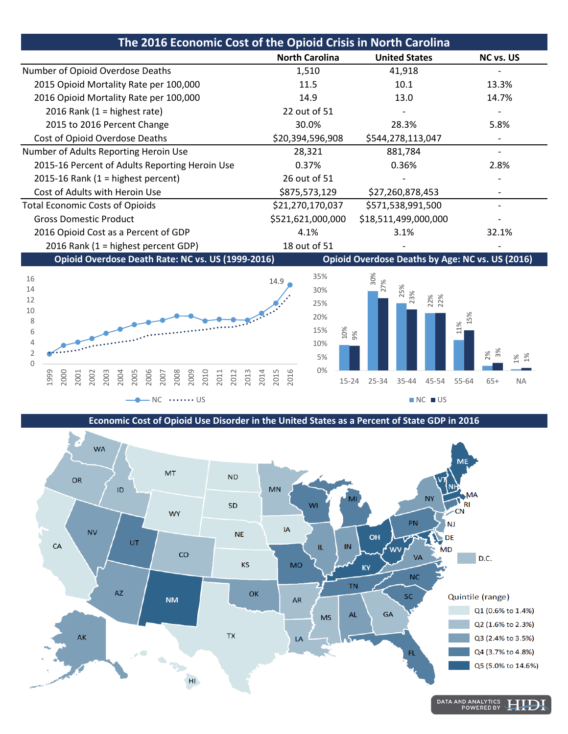| The 2016 Economic Cost of the Opioid Crisis in North Carolina |                       |                      |           |
|---------------------------------------------------------------|-----------------------|----------------------|-----------|
|                                                               | <b>North Carolina</b> | <b>United States</b> | NC vs. US |
| Number of Opioid Overdose Deaths                              | 1,510                 | 41,918               |           |
| 2015 Opioid Mortality Rate per 100,000                        | 11.5                  | 10.1                 | 13.3%     |
| 2016 Opioid Mortality Rate per 100,000                        | 14.9                  | 13.0                 | 14.7%     |
| 2016 Rank (1 = highest rate)                                  | 22 out of 51          |                      |           |
| 2015 to 2016 Percent Change                                   | 30.0%                 | 28.3%                | 5.8%      |
| Cost of Opioid Overdose Deaths                                | \$20,394,596,908      | \$544,278,113,047    |           |
| Number of Adults Reporting Heroin Use                         | 28,321                | 881,784              |           |
| 2015-16 Percent of Adults Reporting Heroin Use                | 0.37%                 | 0.36%                | 2.8%      |
| 2015-16 Rank (1 = highest percent)                            | 26 out of 51          |                      |           |
| Cost of Adults with Heroin Use                                | \$875,573,129         | \$27,260,878,453     |           |
| <b>Total Economic Costs of Opioids</b>                        | \$21,270,170,037      | \$571,538,991,500    |           |
| <b>Gross Domestic Product</b>                                 | \$521,621,000,000     | \$18,511,499,000,000 |           |
| 2016 Opioid Cost as a Percent of GDP                          | 4.1%                  | 3.1%                 | 32.1%     |
| 2016 Rank (1 = highest percent GDP)                           | 18 out of 51          |                      |           |







**Economic Cost of Opioid Use Disorder in the United States as a Percent of State GDP in 2016**



DATA AND ANALYTICS<br>POWERED BY